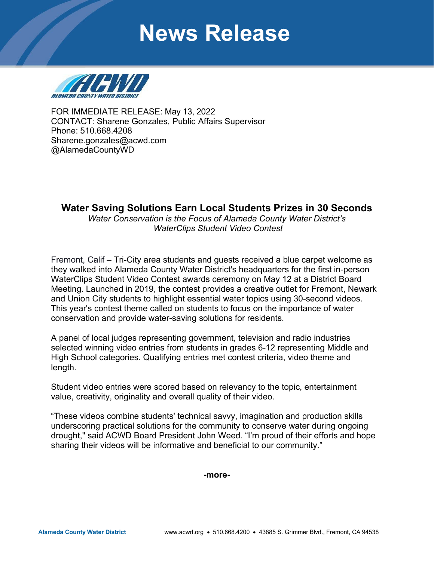# **News Release**



FOR IMMEDIATE RELEASE: May 13, 2022 CONTACT: Sharene Gonzales, Public Affairs Supervisor Phone: 510.668.4208 [Sharene.gonza](mailto:Sharene.gonzales@acwd.com)les@acwd.com @AlamedaCountyWD

## **Water Saving Solutions Earn Local Students Prizes in 30 Seconds**

*Water Conservation is the Focus of Alameda County Water District's WaterClips Student Video Contest* 

Fremont, Calif – Tri-City area students and guests received a blue carpet welcome as they walked into Alameda County Water District's headquarters for the first in-person WaterClips Student Video Contest awards ceremony on May 12 at a District Board Meeting. Launched in 2019, the contest provides a creative outlet for Fremont, Newark and Union City students to highlight essential water topics using 30-second videos. This year's contest theme called on students to focus on the importance of water conservation and provide water-saving solutions for residents.

A panel of local judges representing government, television and radio industries selected winning video entries from students in grades 6-12 representing Middle and High School categories. Qualifying entries met contest criteria, video theme and length.

Student video entries were scored based on relevancy to the topic, entertainment value, creativity, originality and overall quality of their video.

"These videos combine students' technical savvy, imagination and production skills underscoring practical solutions for the community to conserve water during ongoing drought," said ACWD Board President John Weed. "I'm proud of their efforts and hope sharing their videos will be informative and beneficial to our community."

**-more-**